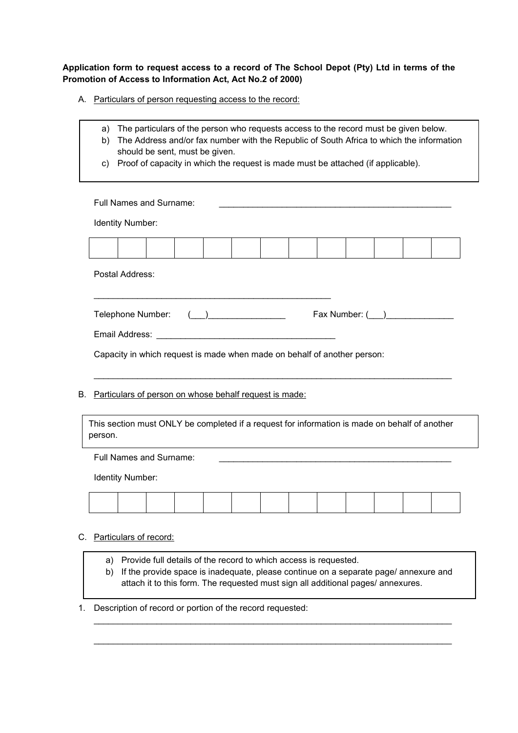**Application form to request access to a record of The School Depot (Pty) Ltd in terms of the Promotion of Access to Information Act, Act No.2 of 2000)**

 $\overline{\phantom{0}}$ 

A. Particulars of person requesting access to the record:

 $\mathbf{r}$ 

|    | a)<br>b)<br>C) | The particulars of the person who requests access to the record must be given below.<br>The Address and/or fax number with the Republic of South Africa to which the information<br>should be sent, must be given.<br>Proof of capacity in which the request is made must be attached (if applicable). |  |  |  |  |  |                                                                                                                                                                                                                                             |  |  |  |  |  |  |
|----|----------------|--------------------------------------------------------------------------------------------------------------------------------------------------------------------------------------------------------------------------------------------------------------------------------------------------------|--|--|--|--|--|---------------------------------------------------------------------------------------------------------------------------------------------------------------------------------------------------------------------------------------------|--|--|--|--|--|--|
|    |                | Full Names and Surname:                                                                                                                                                                                                                                                                                |  |  |  |  |  |                                                                                                                                                                                                                                             |  |  |  |  |  |  |
|    |                | Identity Number:                                                                                                                                                                                                                                                                                       |  |  |  |  |  |                                                                                                                                                                                                                                             |  |  |  |  |  |  |
|    |                |                                                                                                                                                                                                                                                                                                        |  |  |  |  |  |                                                                                                                                                                                                                                             |  |  |  |  |  |  |
|    |                | Postal Address:                                                                                                                                                                                                                                                                                        |  |  |  |  |  |                                                                                                                                                                                                                                             |  |  |  |  |  |  |
|    |                | Telephone Number:<br>Fax Number: ( )<br>Capacity in which request is made when made on behalf of another person:                                                                                                                                                                                       |  |  |  |  |  |                                                                                                                                                                                                                                             |  |  |  |  |  |  |
| В. |                | Particulars of person on whose behalf request is made:                                                                                                                                                                                                                                                 |  |  |  |  |  |                                                                                                                                                                                                                                             |  |  |  |  |  |  |
|    | person.        | This section must ONLY be completed if a request for information is made on behalf of another                                                                                                                                                                                                          |  |  |  |  |  |                                                                                                                                                                                                                                             |  |  |  |  |  |  |
|    |                | <b>Full Names and Surname:</b>                                                                                                                                                                                                                                                                         |  |  |  |  |  | <u> 1989 - Johann Stein, marwolaethau a bhann an t-Amhain an t-Amhain an t-Amhain an t-Amhain an t-Amhain an t-A</u>                                                                                                                        |  |  |  |  |  |  |
|    |                | Identity Number:                                                                                                                                                                                                                                                                                       |  |  |  |  |  |                                                                                                                                                                                                                                             |  |  |  |  |  |  |
|    |                |                                                                                                                                                                                                                                                                                                        |  |  |  |  |  |                                                                                                                                                                                                                                             |  |  |  |  |  |  |
|    |                | C. Particulars of record:                                                                                                                                                                                                                                                                              |  |  |  |  |  |                                                                                                                                                                                                                                             |  |  |  |  |  |  |
|    | a)<br>b)       |                                                                                                                                                                                                                                                                                                        |  |  |  |  |  | Provide full details of the record to which access is requested.<br>If the provide space is inadequate, please continue on a separate page/annexure and<br>attach it to this form. The requested must sign all additional pages/ annexures. |  |  |  |  |  |  |
| 1. |                | Description of record or portion of the record requested:                                                                                                                                                                                                                                              |  |  |  |  |  |                                                                                                                                                                                                                                             |  |  |  |  |  |  |

\_\_\_\_\_\_\_\_\_\_\_\_\_\_\_\_\_\_\_\_\_\_\_\_\_\_\_\_\_\_\_\_\_\_\_\_\_\_\_\_\_\_\_\_\_\_\_\_\_\_\_\_\_\_\_\_\_\_\_\_\_\_\_\_\_\_\_\_\_\_\_\_\_\_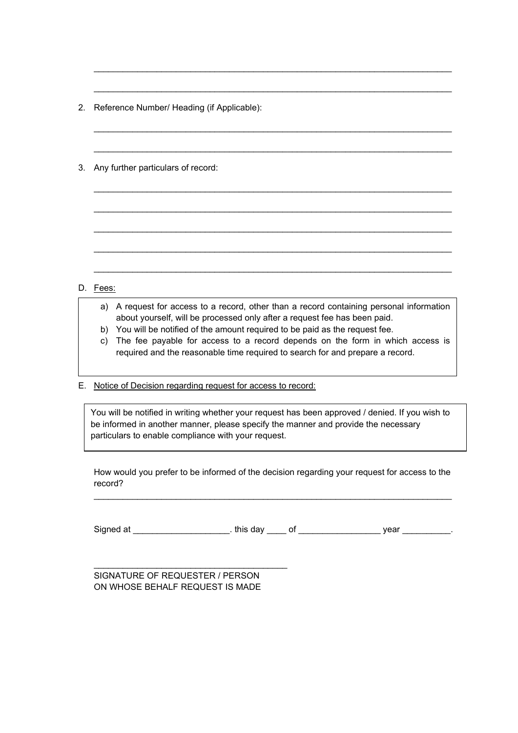2. Reference Number/ Heading (if Applicable):

3. Any further particulars of record:

## D. Fees:

a) A request for access to a record, other than a record containing personal information about yourself, will be processed only after a request fee has been paid.

\_\_\_\_\_\_\_\_\_\_\_\_\_\_\_\_\_\_\_\_\_\_\_\_\_\_\_\_\_\_\_\_\_\_\_\_\_\_\_\_\_\_\_\_\_\_\_\_\_\_\_\_\_\_\_\_\_\_\_\_\_\_\_\_\_\_\_\_\_\_\_\_\_\_

\_\_\_\_\_\_\_\_\_\_\_\_\_\_\_\_\_\_\_\_\_\_\_\_\_\_\_\_\_\_\_\_\_\_\_\_\_\_\_\_\_\_\_\_\_\_\_\_\_\_\_\_\_\_\_\_\_\_\_\_\_\_\_\_\_\_\_\_\_\_\_\_\_\_

\_\_\_\_\_\_\_\_\_\_\_\_\_\_\_\_\_\_\_\_\_\_\_\_\_\_\_\_\_\_\_\_\_\_\_\_\_\_\_\_\_\_\_\_\_\_\_\_\_\_\_\_\_\_\_\_\_\_\_\_\_\_\_\_\_\_\_\_\_\_\_\_\_\_

\_\_\_\_\_\_\_\_\_\_\_\_\_\_\_\_\_\_\_\_\_\_\_\_\_\_\_\_\_\_\_\_\_\_\_\_\_\_\_\_\_\_\_\_\_\_\_\_\_\_\_\_\_\_\_\_\_\_\_\_\_\_\_\_\_\_\_\_\_\_\_\_\_\_

\_\_\_\_\_\_\_\_\_\_\_\_\_\_\_\_\_\_\_\_\_\_\_\_\_\_\_\_\_\_\_\_\_\_\_\_\_\_\_\_\_\_\_\_\_\_\_\_\_\_\_\_\_\_\_\_\_\_\_\_\_\_\_\_\_\_\_\_\_\_\_\_\_\_

\_\_\_\_\_\_\_\_\_\_\_\_\_\_\_\_\_\_\_\_\_\_\_\_\_\_\_\_\_\_\_\_\_\_\_\_\_\_\_\_\_\_\_\_\_\_\_\_\_\_\_\_\_\_\_\_\_\_\_\_\_\_\_\_\_\_\_\_\_\_\_\_\_\_

\_\_\_\_\_\_\_\_\_\_\_\_\_\_\_\_\_\_\_\_\_\_\_\_\_\_\_\_\_\_\_\_\_\_\_\_\_\_\_\_\_\_\_\_\_\_\_\_\_\_\_\_\_\_\_\_\_\_\_\_\_\_\_\_\_\_\_\_\_\_\_\_\_\_

\_\_\_\_\_\_\_\_\_\_\_\_\_\_\_\_\_\_\_\_\_\_\_\_\_\_\_\_\_\_\_\_\_\_\_\_\_\_\_\_\_\_\_\_\_\_\_\_\_\_\_\_\_\_\_\_\_\_\_\_\_\_\_\_\_\_\_\_\_\_\_\_\_\_

\_\_\_\_\_\_\_\_\_\_\_\_\_\_\_\_\_\_\_\_\_\_\_\_\_\_\_\_\_\_\_\_\_\_\_\_\_\_\_\_\_\_\_\_\_\_\_\_\_\_\_\_\_\_\_\_\_\_\_\_\_\_\_\_\_\_\_\_\_\_\_\_\_\_

- b) You will be notified of the amount required to be paid as the request fee.
- c) The fee payable for access to a record depends on the form in which access is required and the reasonable time required to search for and prepare a record.
- E. Notice of Decision regarding request for access to record:

You will be notified in writing whether your request has been approved / denied. If you wish to be informed in another manner, please specify the manner and provide the necessary particulars to enable compliance with your request.

How would you prefer to be informed of the decision regarding your request for access to the record?

\_\_\_\_\_\_\_\_\_\_\_\_\_\_\_\_\_\_\_\_\_\_\_\_\_\_\_\_\_\_\_\_\_\_\_\_\_\_\_\_\_\_\_\_\_\_\_\_\_\_\_\_\_\_\_\_\_\_\_\_\_\_\_\_\_\_\_\_\_\_\_\_\_\_

Signed at this day of the set of the set of the set of the set of the set of the set of the set of the set of the set of the set of the set of the set of the set of the set of the set of the set of the set of the set of th

SIGNATURE OF REQUESTER / PERSON ON WHOSE BEHALF REQUEST IS MADE

\_\_\_\_\_\_\_\_\_\_\_\_\_\_\_\_\_\_\_\_\_\_\_\_\_\_\_\_\_\_\_\_\_\_\_\_\_\_\_\_